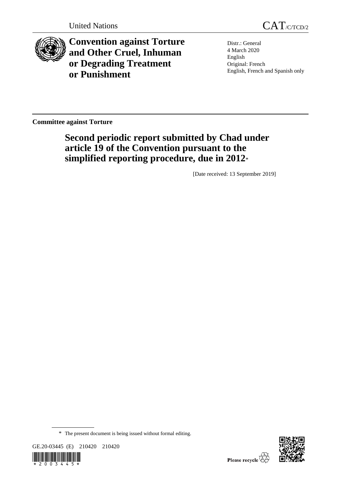

**Convention against Torture and Other Cruel, Inhuman or Degrading Treatment or Punishment**

Distr.: General 4 March 2020 English Original: French English, French and Spanish only

**Committee against Torture**

# **Second periodic report submitted by Chad under article 19 of the Convention pursuant to the simplified reporting procedure, due in 2012**\*

[Date received: 13 September 2019]

<sup>\*</sup> The present document is being issued without formal editing.





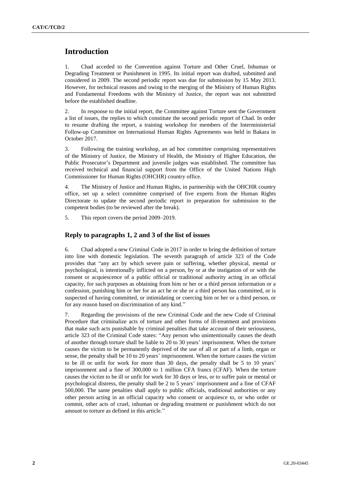## **Introduction**

1. Chad acceded to the Convention against Torture and Other Cruel, Inhuman or Degrading Treatment or Punishment in 1995. Its initial report was drafted, submitted and considered in 2009. The second periodic report was due for submission by 15 May 2013. However, for technical reasons and owing to the merging of the Ministry of Human Rights and Fundamental Freedoms with the Ministry of Justice, the report was not submitted before the established deadline.

2. In response to the initial report, the Committee against Torture sent the Government a list of issues, the replies to which constitute the second periodic report of Chad. In order to resume drafting the report, a training workshop for members of the Interministerial Follow-up Committee on International Human Rights Agreements was held in Bakara in October 2017.

3. Following the training workshop, an ad hoc committee comprising representatives of the Ministry of Justice, the Ministry of Health, the Ministry of Higher Education, the Public Prosecutor's Department and juvenile judges was established. The committee has received technical and financial support from the Office of the United Nations High Commissioner for Human Rights (OHCHR) country office.

4. The Ministry of Justice and Human Rights, in partnership with the OHCHR country office, set up a select committee comprised of five experts from the Human Rights Directorate to update the second periodic report in preparation for submission to the competent bodies (to be reviewed after the break).

5. This report covers the period 2009–2019.

#### **Reply to paragraphs 1, 2 and 3 of the list of issues**

6. Chad adopted a new Criminal Code in 2017 in order to bring the definition of torture into line with domestic legislation. The seventh paragraph of article 323 of the Code provides that "any act by which severe pain or suffering, whether physical, mental or psychological, is intentionally inflicted on a person, by or at the instigation of or with the consent or acquiescence of a public official or traditional authority acting in an official capacity, for such purposes as obtaining from him or her or a third person information or a confession, punishing him or her for an act he or she or a third person has committed, or is suspected of having committed, or intimidating or coercing him or her or a third person, or for any reason based on discrimination of any kind."

7. Regarding the provisions of the new Criminal Code and the new Code of Criminal Procedure that criminalize acts of torture and other forms of ill-treatment and provisions that make such acts punishable by criminal penalties that take account of their seriousness, article 323 of the Criminal Code states: "Any person who unintentionally causes the death of another through torture shall be liable to 20 to 30 years' imprisonment. When the torture causes the victim to be permanently deprived of the use of all or part of a limb, organ or sense, the penalty shall be 10 to 20 years' imprisonment. When the torture causes the victim to be ill or unfit for work for more than 30 days, the penalty shall be 5 to 10 years' imprisonment and a fine of 300,000 to 1 million CFA francs (CFAF). When the torture causes the victim to be ill or unfit for work for 30 days or less, or to suffer pain or mental or psychological distress, the penalty shall be 2 to 5 years' imprisonment and a fine of CFAF 500,000. The same penalties shall apply to public officials, traditional authorities or any other person acting in an official capacity who consent or acquiesce to, or who order or commit, other acts of cruel, inhuman or degrading treatment or punishment which do not amount to torture as defined in this article."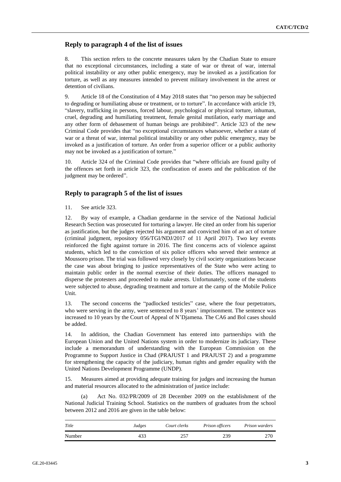## **Reply to paragraph 4 of the list of issues**

8. This section refers to the concrete measures taken by the Chadian State to ensure that no exceptional circumstances, including a state of war or threat of war, internal political instability or any other public emergency, may be invoked as a justification for torture, as well as any measures intended to prevent military involvement in the arrest or detention of civilians.

9. Article 18 of the Constitution of 4 May 2018 states that "no person may be subjected to degrading or humiliating abuse or treatment, or to torture". In accordance with article 19, "slavery, trafficking in persons, forced labour, psychological or physical torture, inhuman, cruel, degrading and humiliating treatment, female genital mutilation, early marriage and any other form of debasement of human beings are prohibited". Article 323 of the new Criminal Code provides that "no exceptional circumstances whatsoever, whether a state of war or a threat of war, internal political instability or any other public emergency, may be invoked as a justification of torture. An order from a superior officer or a public authority may not be invoked as a justification of torture."

10. Article 324 of the Criminal Code provides that "where officials are found guilty of the offences set forth in article 323, the confiscation of assets and the publication of the judgment may be ordered".

## **Reply to paragraph 5 of the list of issues**

11. See article 323.

12. By way of example, a Chadian gendarme in the service of the National Judicial Research Section was prosecuted for torturing a lawyer. He cited an order from his superior as justification, but the judges rejected his argument and convicted him of an act of torture (criminal judgment, repository 056/TGI/NDJ/2017 of 11 April 2017). Two key events reinforced the fight against torture in 2016. The first concerns acts of violence against students, which led to the conviction of six police officers who served their sentence at Moussoro prison. The trial was followed very closely by civil society organizations because the case was about bringing to justice representatives of the State who were acting to maintain public order in the normal exercise of their duties. The officers managed to disperse the protesters and proceeded to make arrests. Unfortunately, some of the students were subjected to abuse, degrading treatment and torture at the camp of the Mobile Police Unit.

13. The second concerns the "padlocked testicles" case, where the four perpetrators, who were serving in the army, were sentenced to 8 years' imprisonment. The sentence was increased to 10 years by the Court of Appeal of N'Djamena. The CA6 and Bol cases should be added.

14. In addition, the Chadian Government has entered into partnerships with the European Union and the United Nations system in order to modernize its judiciary. These include a memorandum of understanding with the European Commission on the Programme to Support Justice in Chad (PRAJUST 1 and PRAJUST 2) and a programme for strengthening the capacity of the judiciary, human rights and gender equality with the United Nations Development Programme (UNDP).

15. Measures aimed at providing adequate training for judges and increasing the human and material resources allocated to the administration of justice include:

Act No. 032/PR/2009 of 28 December 2009 on the establishment of the National Judicial Training School. Statistics on the numbers of graduates from the school between 2012 and 2016 are given in the table below:

| Title  | Judges | Court clerks | Prison officers | Prison warders |
|--------|--------|--------------|-----------------|----------------|
| Number | 433    | 257          | 239             |                |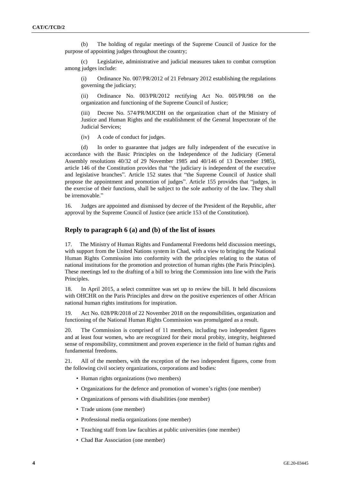(b) The holding of regular meetings of the Supreme Council of Justice for the purpose of appointing judges throughout the country;

(c) Legislative, administrative and judicial measures taken to combat corruption among judges include:

(i) Ordinance No. 007/PR/2012 of 21 February 2012 establishing the regulations governing the judiciary;

(ii) Ordinance No. 003/PR/2012 rectifying Act No. 005/PR/98 on the organization and functioning of the Supreme Council of Justice;

(iii) Decree No. 574/PR/MJCDH on the organization chart of the Ministry of Justice and Human Rights and the establishment of the General Inspectorate of the Judicial Services;

(iv) A code of conduct for judges.

(d) In order to guarantee that judges are fully independent of the executive in accordance with the Basic Principles on the Independence of the Judiciary (General Assembly resolutions 40/32 of 29 November 1985 and 40/146 of 13 December 1985), article 146 of the Constitution provides that "the judiciary is independent of the executive and legislative branches". Article 152 states that "the Supreme Council of Justice shall propose the appointment and promotion of judges". Article 155 provides that "judges, in the exercise of their functions, shall be subject to the sole authority of the law. They shall be irremovable."

16. Judges are appointed and dismissed by decree of the President of the Republic, after approval by the Supreme Council of Justice (see article 153 of the Constitution).

#### **Reply to paragraph 6 (a) and (b) of the list of issues**

17. The Ministry of Human Rights and Fundamental Freedoms held discussion meetings, with support from the United Nations system in Chad, with a view to bringing the National Human Rights Commission into conformity with the principles relating to the status of national institutions for the promotion and protection of human rights (the Paris Principles). These meetings led to the drafting of a bill to bring the Commission into line with the Paris Principles.

18. In April 2015, a select committee was set up to review the bill. It held discussions with OHCHR on the Paris Principles and drew on the positive experiences of other African national human rights institutions for inspiration.

19. Act No. 028/PR/2018 of 22 November 2018 on the responsibilities, organization and functioning of the National Human Rights Commission was promulgated as a result.

20. The Commission is comprised of 11 members, including two independent figures and at least four women, who are recognized for their moral probity, integrity, heightened sense of responsibility, commitment and proven experience in the field of human rights and fundamental freedoms.

21. All of the members, with the exception of the two independent figures, come from the following civil society organizations, corporations and bodies:

- Human rights organizations (two members)
- Organizations for the defence and promotion of women's rights (one member)
- Organizations of persons with disabilities (one member)
- Trade unions (one member)
- Professional media organizations (one member)
- Teaching staff from law faculties at public universities (one member)
- Chad Bar Association (one member)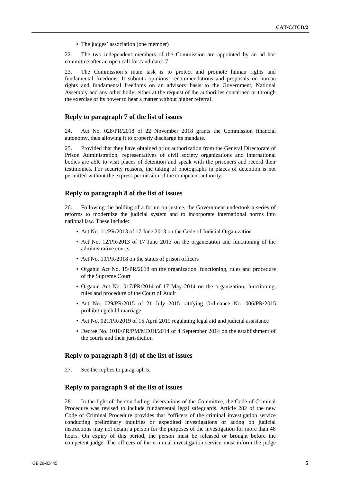• The judges' association (one member)

22. The two independent members of the Commission are appointed by an ad hoc committee after an open call for candidates.7

23. The Commission's main task is to protect and promote human rights and fundamental freedoms. It submits opinions, recommendations and proposals on human rights and fundamental freedoms on an advisory basis to the Government, National Assembly and any other body, either at the request of the authorities concerned or through the exercise of its power to hear a matter without higher referral.

#### **Reply to paragraph 7 of the list of issues**

24. Act No. 028/PR/2018 of 22 November 2018 grants the Commission financial autonomy, thus allowing it to properly discharge its mandate.

25. Provided that they have obtained prior authorization from the General Directorate of Prison Administration, representatives of civil society organizations and international bodies are able to visit places of detention and speak with the prisoners and record their testimonies. For security reasons, the taking of photographs in places of detention is not permitted without the express permission of the competent authority.

#### **Reply to paragraph 8 of the list of issues**

26. Following the holding of a forum on justice, the Government undertook a series of reforms to modernize the judicial system and to incorporate international norms into national law. These include:

- Act No. 11/PR/2013 of 17 June 2013 on the Code of Judicial Organization
- Act No. 12/PR/2013 of 17 June 2013 on the organization and functioning of the administrative courts
- Act No. 19/PR/2018 on the status of prison officers
- Organic Act No. 15/PR/2018 on the organization, functioning, rules and procedure of the Supreme Court
- Organic Act No. 017/PR/2014 of 17 May 2014 on the organization, functioning, rules and procedure of the Court of Audit
- Act No. 029/PR/2015 of 21 July 2015 ratifying Ordinance No. 006/PR/2015 prohibiting child marriage
- Act No. 021/PR/2019 of 15 April 2019 regulating legal aid and judicial assistance
- Decree No. 1010/PR/PM/MDJH/2014 of 4 September 2014 on the establishment of the courts and their jurisdiction

#### **Reply to paragraph 8 (d) of the list of issues**

27. See the replies to paragraph 5.

#### **Reply to paragraph 9 of the list of issues**

28. In the light of the concluding observations of the Committee, the Code of Criminal Procedure was revised to include fundamental legal safeguards. Article 282 of the new Code of Criminal Procedure provides that "officers of the criminal investigation service conducting preliminary inquiries or expedited investigations or acting on judicial instructions may not detain a person for the purposes of the investigation for more than 48 hours. On expiry of this period, the person must be released or brought before the competent judge. The officers of the criminal investigation service must inform the judge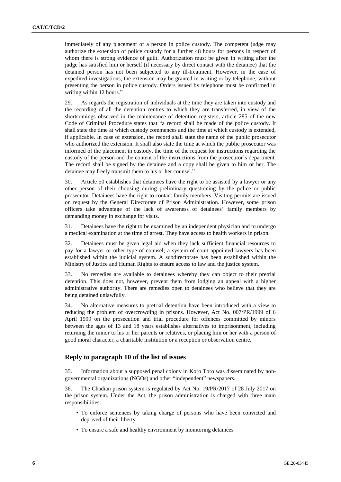immediately of any placement of a person in police custody. The competent judge may authorize the extension of police custody for a further 48 hours for persons in respect of whom there is strong evidence of guilt. Authorization must be given in writing after the judge has satisfied him or herself (if necessary by direct contact with the detainee) that the detained person has not been subjected to any ill-treatment. However, in the case of expedited investigations, the extension may be granted in writing or by telephone, without presenting the person in police custody. Orders issued by telephone must be confirmed in writing within 12 hours."

29. As regards the registration of individuals at the time they are taken into custody and the recording of all the detention centres to which they are transferred, in view of the shortcomings observed in the maintenance of detention registers, article 285 of the new Code of Criminal Procedure states that "a record shall be made of the police custody. It shall state the time at which custody commences and the time at which custody is extended, if applicable. In case of extension, the record shall state the name of the public prosecutor who authorized the extension. It shall also state the time at which the public prosecutor was informed of the placement in custody, the time of the request for instructions regarding the custody of the person and the content of the instructions from the prosecutor's department. The record shall be signed by the detainee and a copy shall be given to him or her. The detainee may freely transmit them to his or her counsel."

30. Article 50 establishes that detainees have the right to be assisted by a lawyer or any other person of their choosing during preliminary questioning by the police or public prosecutor. Detainees have the right to contact family members. Visiting permits are issued on request by the General Directorate of Prison Administration. However, some prison officers take advantage of the lack of awareness of detainees' family members by demanding money in exchange for visits.

31. Detainees have the right to be examined by an independent physician and to undergo a medical examination at the time of arrest. They have access to health workers in prison.

32. Detainees must be given legal aid when they lack sufficient financial resources to pay for a lawyer or other type of counsel; a system of court-appointed lawyers has been established within the judicial system. A subdirectorate has been established within the Ministry of Justice and Human Rights to ensure access to law and the justice system.

33. No remedies are available to detainees whereby they can object to their pretrial detention. This does not, however, prevent them from lodging an appeal with a higher administrative authority. There are remedies open to detainees who believe that they are being detained unlawfully.

34. No alternative measures to pretrial detention have been introduced with a view to reducing the problem of overcrowding in prisons. However, Act No. 007/PR/1999 of 6 April 1999 on the prosecution and trial procedure for offences committed by minors between the ages of 13 and 18 years establishes alternatives to imprisonment, including returning the minor to his or her parents or relatives, or placing him or her with a person of good moral character, a charitable institution or a reception or observation centre.

#### **Reply to paragraph 10 of the list of issues**

35. Information about a supposed penal colony in Koro Toro was disseminated by nongovernmental organizations (NGOs) and other "independent" newspapers.

36. The Chadian prison system is regulated by Act No. 19/PR/2017 of 28 July 2017 on the prison system. Under the Act, the prison administration is charged with three main responsibilities:

- To enforce sentences by taking charge of persons who have been convicted and deprived of their liberty
- To ensure a safe and healthy environment by monitoring detainees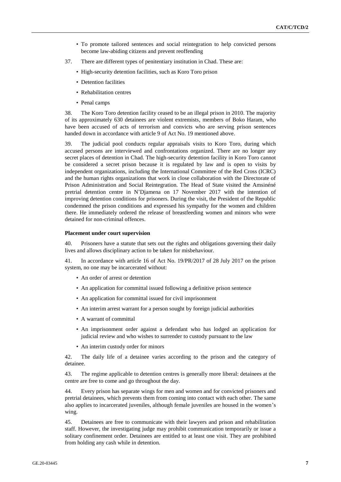- To promote tailored sentences and social reintegration to help convicted persons become law-abiding citizens and prevent reoffending
- 37. There are different types of penitentiary institution in Chad. These are:
	- High-security detention facilities, such as Koro Toro prison
	- Detention facilities
	- Rehabilitation centres
	- Penal camps

38. The Koro Toro detention facility ceased to be an illegal prison in 2010. The majority of its approximately 630 detainees are violent extremists, members of Boko Haram, who have been accused of acts of terrorism and convicts who are serving prison sentences handed down in accordance with article 9 of Act No. 19 mentioned above.

39. The judicial pool conducts regular appraisals visits to Koro Toro, during which accused persons are interviewed and confrontations organized. There are no longer any secret places of detention in Chad. The high-security detention facility in Koro Toro cannot be considered a secret prison because it is regulated by law and is open to visits by independent organizations, including the International Committee of the Red Cross (ICRC) and the human rights organizations that work in close collaboration with the Directorate of Prison Administration and Social Reintegration. The Head of State visited the Amsinéné pretrial detention centre in N'Djamena on 17 November 2017 with the intention of improving detention conditions for prisoners. During the visit, the President of the Republic condemned the prison conditions and expressed his sympathy for the women and children there. He immediately ordered the release of breastfeeding women and minors who were detained for non-criminal offences.

#### **Placement under court supervision**

40. Prisoners have a statute that sets out the rights and obligations governing their daily lives and allows disciplinary action to be taken for misbehaviour.

41. In accordance with article 16 of Act No. 19/PR/2017 of 28 July 2017 on the prison system, no one may be incarcerated without:

- An order of arrest or detention
- An application for committal issued following a definitive prison sentence
- An application for committal issued for civil imprisonment
- An interim arrest warrant for a person sought by foreign judicial authorities
- A warrant of committal
- An imprisonment order against a defendant who has lodged an application for judicial review and who wishes to surrender to custody pursuant to the law
- An interim custody order for minors

42. The daily life of a detainee varies according to the prison and the category of detainee.

43. The regime applicable to detention centres is generally more liberal: detainees at the centre are free to come and go throughout the day.

44. Every prison has separate wings for men and women and for convicted prisoners and pretrial detainees, which prevents them from coming into contact with each other. The same also applies to incarcerated juveniles, although female juveniles are housed in the women's wing.

45. Detainees are free to communicate with their lawyers and prison and rehabilitation staff. However, the investigating judge may prohibit communication temporarily or issue a solitary confinement order. Detainees are entitled to at least one visit. They are prohibited from holding any cash while in detention.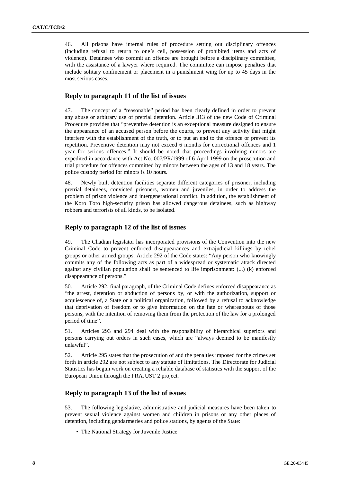46. All prisons have internal rules of procedure setting out disciplinary offences (including refusal to return to one's cell, possession of prohibited items and acts of violence). Detainees who commit an offence are brought before a disciplinary committee, with the assistance of a lawyer where required. The committee can impose penalties that include solitary confinement or placement in a punishment wing for up to 45 days in the most serious cases.

## **Reply to paragraph 11 of the list of issues**

47. The concept of a "reasonable" period has been clearly defined in order to prevent any abuse or arbitrary use of pretrial detention. Article 313 of the new Code of Criminal Procedure provides that "preventive detention is an exceptional measure designed to ensure the appearance of an accused person before the courts, to prevent any activity that might interfere with the establishment of the truth, or to put an end to the offence or prevent its repetition. Preventive detention may not exceed 6 months for correctional offences and 1 year for serious offences." It should be noted that proceedings involving minors are expedited in accordance with Act No. 007/PR/1999 of 6 April 1999 on the prosecution and trial procedure for offences committed by minors between the ages of 13 and 18 years. The police custody period for minors is 10 hours.

48. Newly built detention facilities separate different categories of prisoner, including pretrial detainees, convicted prisoners, women and juveniles, in order to address the problem of prison violence and intergenerational conflict. In addition, the establishment of the Koro Toro high-security prison has allowed dangerous detainees, such as highway robbers and terrorists of all kinds, to be isolated.

## **Reply to paragraph 12 of the list of issues**

49. The Chadian legislator has incorporated provisions of the Convention into the new Criminal Code to prevent enforced disappearances and extrajudicial killings by rebel groups or other armed groups. Article 292 of the Code states: "Any person who knowingly commits any of the following acts as part of a widespread or systematic attack directed against any civilian population shall be sentenced to life imprisonment: (...) (k) enforced disappearance of persons."

50. Article 292, final paragraph, of the Criminal Code defines enforced disappearance as "the arrest, detention or abduction of persons by, or with the authorization, support or acquiescence of, a State or a political organization, followed by a refusal to acknowledge that deprivation of freedom or to give information on the fate or whereabouts of those persons, with the intention of removing them from the protection of the law for a prolonged period of time".

51. Articles 293 and 294 deal with the responsibility of hierarchical superiors and persons carrying out orders in such cases, which are "always deemed to be manifestly unlawful".

52. Article 295 states that the prosecution of and the penalties imposed for the crimes set forth in article 292 are not subject to any statute of limitations. The Directorate for Judicial Statistics has begun work on creating a reliable database of statistics with the support of the European Union through the PRAJUST 2 project.

## **Reply to paragraph 13 of the list of issues**

53. The following legislative, administrative and judicial measures have been taken to prevent sexual violence against women and children in prisons or any other places of detention, including gendarmeries and police stations, by agents of the State:

• The National Strategy for Juvenile Justice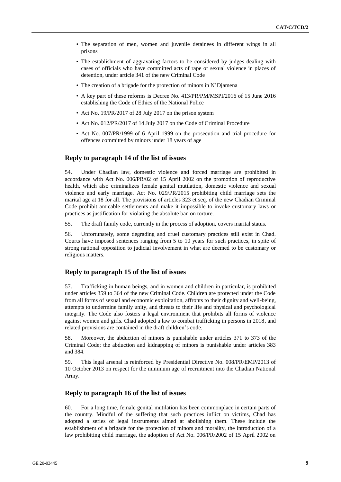- The separation of men, women and juvenile detainees in different wings in all prisons
- The establishment of aggravating factors to be considered by judges dealing with cases of officials who have committed acts of rape or sexual violence in places of detention, under article 341 of the new Criminal Code
- The creation of a brigade for the protection of minors in N'Djamena
- A key part of these reforms is Decree No. 413/PR/PM/MSPI/2016 of 15 June 2016 establishing the Code of Ethics of the National Police
- Act No. 19/PR/2017 of 28 July 2017 on the prison system
- Act No. 012/PR/2017 of 14 July 2017 on the Code of Criminal Procedure
- Act No. 007/PR/1999 of 6 April 1999 on the prosecution and trial procedure for offences committed by minors under 18 years of age

#### **Reply to paragraph 14 of the list of issues**

54. Under Chadian law, domestic violence and forced marriage are prohibited in accordance with Act No. 006/PR/02 of 15 April 2002 on the promotion of reproductive health, which also criminalizes female genital mutilation, domestic violence and sexual violence and early marriage. Act No. 029/PR/2015 prohibiting child marriage sets the marital age at 18 for all. The provisions of articles 323 et seq. of the new Chadian Criminal Code prohibit amicable settlements and make it impossible to invoke customary laws or practices as justification for violating the absolute ban on torture.

55. The draft family code, currently in the process of adoption, covers marital status.

56. Unfortunately, some degrading and cruel customary practices still exist in Chad. Courts have imposed sentences ranging from 5 to 10 years for such practices, in spite of strong national opposition to judicial involvement in what are deemed to be customary or religious matters.

## **Reply to paragraph 15 of the list of issues**

57. Trafficking in human beings, and in women and children in particular, is prohibited under articles 359 to 364 of the new Criminal Code. Children are protected under the Code from all forms of sexual and economic exploitation, affronts to their dignity and well-being, attempts to undermine family unity, and threats to their life and physical and psychological integrity. The Code also fosters a legal environment that prohibits all forms of violence against women and girls. Chad adopted a law to combat trafficking in persons in 2018, and related provisions are contained in the draft children's code.

58. Moreover, the abduction of minors is punishable under articles 371 to 373 of the Criminal Code; the abduction and kidnapping of minors is punishable under articles 383 and 384.

59. This legal arsenal is reinforced by Presidential Directive No. 008/PR/EMP/2013 of 10 October 2013 on respect for the minimum age of recruitment into the Chadian National Army.

#### **Reply to paragraph 16 of the list of issues**

60. For a long time, female genital mutilation has been commonplace in certain parts of the country. Mindful of the suffering that such practices inflict on victims, Chad has adopted a series of legal instruments aimed at abolishing them. These include the establishment of a brigade for the protection of minors and morality, the introduction of a law prohibiting child marriage, the adoption of Act No. 006/PR/2002 of 15 April 2002 on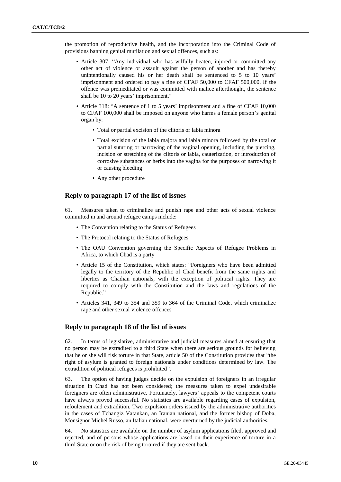the promotion of reproductive health, and the incorporation into the Criminal Code of provisions banning genital mutilation and sexual offences, such as:

- Article 307: "Any individual who has wilfully beaten, injured or committed any other act of violence or assault against the person of another and has thereby unintentionally caused his or her death shall be sentenced to 5 to 10 years' imprisonment and ordered to pay a fine of CFAF 50,000 to CFAF 500,000. If the offence was premeditated or was committed with malice afterthought, the sentence shall be 10 to 20 years' imprisonment."
- Article 318: "A sentence of 1 to 5 years' imprisonment and a fine of CFAF 10,000 to CFAF 100,000 shall be imposed on anyone who harms a female person's genital organ by:
	- Total or partial excision of the clitoris or labia minora
	- Total excision of the labia majora and labia minora followed by the total or partial suturing or narrowing of the vaginal opening, including the piercing, incision or stretching of the clitoris or labia, cauterization, or introduction of corrosive substances or herbs into the vagina for the purposes of narrowing it or causing bleeding
	- Any other procedure

## **Reply to paragraph 17 of the list of issues**

61. Measures taken to criminalize and punish rape and other acts of sexual violence committed in and around refugee camps include:

- The Convention relating to the Status of Refugees
- The Protocol relating to the Status of Refugees
- The OAU Convention governing the Specific Aspects of Refugee Problems in Africa, to which Chad is a party
- Article 15 of the Constitution, which states: "Foreigners who have been admitted legally to the territory of the Republic of Chad benefit from the same rights and liberties as Chadian nationals, with the exception of political rights. They are required to comply with the Constitution and the laws and regulations of the Republic."
- Articles 341, 349 to 354 and 359 to 364 of the Criminal Code, which criminalize rape and other sexual violence offences

## **Reply to paragraph 18 of the list of issues**

62. In terms of legislative, administrative and judicial measures aimed at ensuring that no person may be extradited to a third State when there are serious grounds for believing that he or she will risk torture in that State, article 50 of the Constitution provides that "the right of asylum is granted to foreign nationals under conditions determined by law. The extradition of political refugees is prohibited".

63. The option of having judges decide on the expulsion of foreigners in an irregular situation in Chad has not been considered; the measures taken to expel undesirable foreigners are often administrative. Fortunately, lawyers' appeals to the competent courts have always proved successful. No statistics are available regarding cases of expulsion, refoulement and extradition. Two expulsion orders issued by the administrative authorities in the cases of Tchangiz Vatankan, an Iranian national, and the former bishop of Doba, Monsignor Michel Russo, an Italian national, were overturned by the judicial authorities.

64. No statistics are available on the number of asylum applications filed, approved and rejected, and of persons whose applications are based on their experience of torture in a third State or on the risk of being tortured if they are sent back.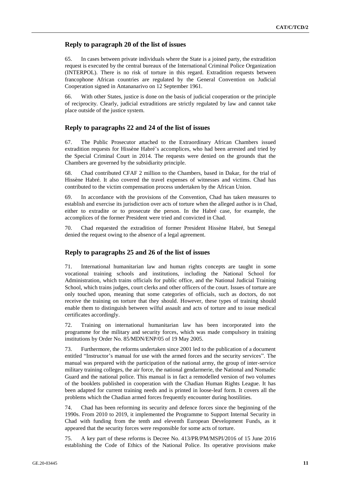## **Reply to paragraph 20 of the list of issues**

65. In cases between private individuals where the State is a joined party, the extradition request is executed by the central bureaux of the International Criminal Police Organization (INTERPOL). There is no risk of torture in this regard. Extradition requests between francophone African countries are regulated by the General Convention on Judicial Cooperation signed in Antananarivo on 12 September 1961.

66. With other States, justice is done on the basis of judicial cooperation or the principle of reciprocity. Clearly, judicial extraditions are strictly regulated by law and cannot take place outside of the justice system.

#### **Reply to paragraphs 22 and 24 of the list of issues**

67. The Public Prosecutor attached to the Extraordinary African Chambers issued extradition requests for Hissène Habré's accomplices, who had been arrested and tried by the Special Criminal Court in 2014. The requests were denied on the grounds that the Chambers are governed by the subsidiarity principle.

68. Chad contributed CFAF 2 million to the Chambers, based in Dakar, for the trial of Hissène Habré. It also covered the travel expenses of witnesses and victims. Chad has contributed to the victim compensation process undertaken by the African Union.

69. In accordance with the provisions of the Convention, Chad has taken measures to establish and exercise its jurisdiction over acts of torture when the alleged author is in Chad, either to extradite or to prosecute the person. In the Habré case, for example, the accomplices of the former President were tried and convicted in Chad.

70. Chad requested the extradition of former President Hissène Habré, but Senegal denied the request owing to the absence of a legal agreement.

## **Reply to paragraphs 25 and 26 of the list of issues**

71. International humanitarian law and human rights concepts are taught in some vocational training schools and institutions, including the National School for Administration, which trains officials for public office, and the National Judicial Training School, which trains judges, court clerks and other officers of the court. Issues of torture are only touched upon, meaning that some categories of officials, such as doctors, do not receive the training on torture that they should. However, these types of training should enable them to distinguish between wilful assault and acts of torture and to issue medical certificates accordingly.

72. Training on international humanitarian law has been incorporated into the programme for the military and security forces, which was made compulsory in training institutions by Order No. 85/MDN/ENP/05 of 19 May 2005.

73. Furthermore, the reforms undertaken since 2001 led to the publication of a document entitled "Instructor's manual for use with the armed forces and the security services". The manual was prepared with the participation of the national army, the group of inter-service military training colleges, the air force, the national gendarmerie, the National and Nomadic Guard and the national police. This manual is in fact a remodelled version of two volumes of the booklets published in cooperation with the Chadian Human Rights League. It has been adapted for current training needs and is printed in loose-leaf form. It covers all the problems which the Chadian armed forces frequently encounter during hostilities.

74. Chad has been reforming its security and defence forces since the beginning of the 1990s. From 2010 to 2019, it implemented the Programme to Support Internal Security in Chad with funding from the tenth and eleventh European Development Funds, as it appeared that the security forces were responsible for some acts of torture.

75. A key part of these reforms is Decree No. 413/PR/PM/MSPI/2016 of 15 June 2016 establishing the Code of Ethics of the National Police. Its operative provisions make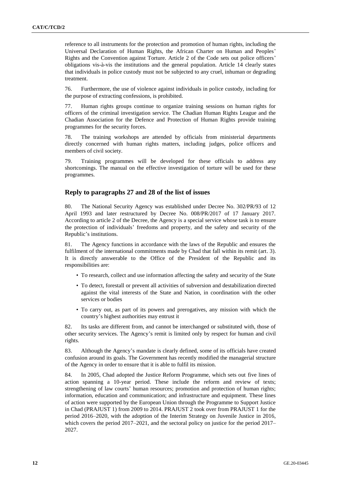reference to all instruments for the protection and promotion of human rights, including the Universal Declaration of Human Rights, the African Charter on Human and Peoples' Rights and the Convention against Torture. Article 2 of the Code sets out police officers' obligations vis-à-vis the institutions and the general population. Article 14 clearly states that individuals in police custody must not be subjected to any cruel, inhuman or degrading treatment.

76. Furthermore, the use of violence against individuals in police custody, including for the purpose of extracting confessions, is prohibited.

77. Human rights groups continue to organize training sessions on human rights for officers of the criminal investigation service. The Chadian Human Rights League and the Chadian Association for the Defence and Protection of Human Rights provide training programmes for the security forces.

78. The training workshops are attended by officials from ministerial departments directly concerned with human rights matters, including judges, police officers and members of civil society.

79. Training programmes will be developed for these officials to address any shortcomings. The manual on the effective investigation of torture will be used for these programmes.

#### **Reply to paragraphs 27 and 28 of the list of issues**

80. The National Security Agency was established under Decree No. 302/PR/93 of 12 April 1993 and later restructured by Decree No. 008/PR/2017 of 17 January 2017. According to article 2 of the Decree, the Agency is a special service whose task is to ensure the protection of individuals' freedoms and property, and the safety and security of the Republic's institutions.

81. The Agency functions in accordance with the laws of the Republic and ensures the fulfilment of the international commitments made by Chad that fall within its remit (art. 3). It is directly answerable to the Office of the President of the Republic and its responsibilities are:

- To research, collect and use information affecting the safety and security of the State
- To detect, forestall or prevent all activities of subversion and destabilization directed against the vital interests of the State and Nation, in coordination with the other services or bodies
- To carry out, as part of its powers and prerogatives, any mission with which the country's highest authorities may entrust it

82. Its tasks are different from, and cannot be interchanged or substituted with, those of other security services. The Agency's remit is limited only by respect for human and civil rights.

83. Although the Agency's mandate is clearly defined, some of its officials have created confusion around its goals. The Government has recently modified the managerial structure of the Agency in order to ensure that it is able to fulfil its mission.

84. In 2005, Chad adopted the Justice Reform Programme, which sets out five lines of action spanning a 10-year period. These include the reform and review of texts; strengthening of law courts' human resources; promotion and protection of human rights; information, education and communication; and infrastructure and equipment. These lines of action were supported by the European Union through the Programme to Support Justice in Chad (PRAJUST 1) from 2009 to 2014. PRAJUST 2 took over from PRAJUST 1 for the period 2016–2020, with the adoption of the Interim Strategy on Juvenile Justice in 2016, which covers the period 2017–2021, and the sectoral policy on justice for the period 2017– 2027.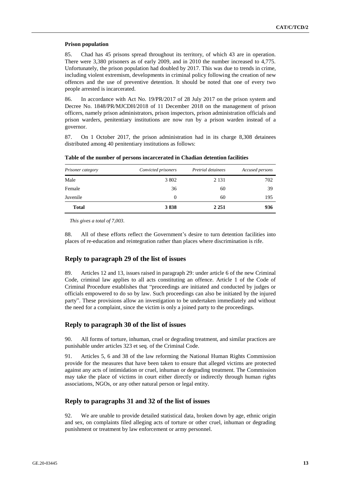#### **Prison population**

85. Chad has 45 prisons spread throughout its territory, of which 43 are in operation. There were 3,380 prisoners as of early 2009, and in 2010 the number increased to 4,775. Unfortunately, the prison population had doubled by 2017. This was due to trends in crime, including violent extremism, developments in criminal policy following the creation of new offences and the use of preventive detention. It should be noted that one of every two people arrested is incarcerated.

86. In accordance with Act No. 19/PR/2017 of 28 July 2017 on the prison system and Decree No. 1848/PR/MJCDH/2018 of 11 December 2018 on the management of prison officers, namely prison administrators, prison inspectors, prison administration officials and prison warders, penitentiary institutions are now run by a prison warden instead of a governor.

87. On 1 October 2017, the prison administration had in its charge 8,308 detainees distributed among 40 penitentiary institutions as follows:

| Prisoner category | Convicted prisoners | Pretrial detainees | Accused persons |
|-------------------|---------------------|--------------------|-----------------|
| Male              | 3 802               | 2 1 3 1            | 702             |
| Female            | 36                  | 60                 | 39              |
| Juvenile          | 0                   | 60                 | 195             |
| <b>Total</b>      | 3838                | 2 2 5 1            | 936             |

**Table of the number of persons incarcerated in Chadian detention facilities**

*This gives a total of 7,003.*

88. All of these efforts reflect the Government's desire to turn detention facilities into places of re-education and reintegration rather than places where discrimination is rife.

## **Reply to paragraph 29 of the list of issues**

89. Articles 12 and 13, issues raised in paragraph 29: under article 6 of the new Criminal Code, criminal law applies to all acts constituting an offence. Article 1 of the Code of Criminal Procedure establishes that "proceedings are initiated and conducted by judges or officials empowered to do so by law. Such proceedings can also be initiated by the injured party". These provisions allow an investigation to be undertaken immediately and without the need for a complaint, since the victim is only a joined party to the proceedings.

## **Reply to paragraph 30 of the list of issues**

90. All forms of torture, inhuman, cruel or degrading treatment, and similar practices are punishable under articles 323 et seq. of the Criminal Code.

91. Articles 5, 6 and 38 of the law reforming the National Human Rights Commission provide for the measures that have been taken to ensure that alleged victims are protected against any acts of intimidation or cruel, inhuman or degrading treatment. The Commission may take the place of victims in court either directly or indirectly through human rights associations, NGOs, or any other natural person or legal entity.

## **Reply to paragraphs 31 and 32 of the list of issues**

92. We are unable to provide detailed statistical data, broken down by age, ethnic origin and sex, on complaints filed alleging acts of torture or other cruel, inhuman or degrading punishment or treatment by law enforcement or army personnel.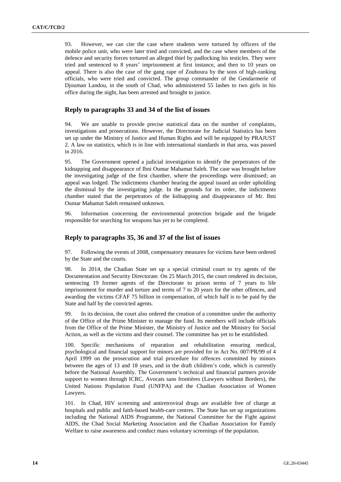93. However, we can cite the case where students were tortured by officers of the mobile police unit, who were later tried and convicted, and the case where members of the defence and security forces tortured an alleged thief by padlocking his testicles. They were tried and sentenced to 8 years' imprisonment at first instance, and then to 10 years on appeal. There is also the case of the gang rape of Zouhoura by the sons of high-ranking officials, who were tried and convicted. The group commander of the Gendarmerie of Djouman Landou, in the south of Chad, who administered 55 lashes to two girls in his office during the night, has been arrested and brought to justice.

## **Reply to paragraphs 33 and 34 of the list of issues**

94. We are unable to provide precise statistical data on the number of complaints, investigations and prosecutions. However, the Directorate for Judicial Statistics has been set up under the Ministry of Justice and Human Rights and will be equipped by PRAJUST 2. A law on statistics, which is in line with international standards in that area, was passed in 2016.

95. The Government opened a judicial investigation to identify the perpetrators of the kidnapping and disappearance of Ibni Oumar Mahamat Saleh. The case was brought before the investigating judge of the first chamber, where the proceedings were dismissed; an appeal was lodged. The indictments chamber hearing the appeal issued an order upholding the dismissal by the investigating judge. In the grounds for its order, the indictments chamber stated that the perpetrators of the kidnapping and disappearance of Mr. Ibni Oumar Mahamat Saleh remained unknown.

96. Information concerning the environmental protection brigade and the brigade responsible for searching for weapons has yet to be completed.

#### **Reply to paragraphs 35, 36 and 37 of the list of issues**

97. Following the events of 2008, compensatory measures for victims have been ordered by the State and the courts.

98. In 2014, the Chadian State set up a special criminal court to try agents of the Documentation and Security Directorate. On 25 March 2015, the court rendered its decision, sentencing 19 former agents of the Directorate to prison terms of 7 years to life imprisonment for murder and torture and terms of 7 to 20 years for the other offences, and awarding the victims CFAF 75 billion in compensation, of which half is to be paid by the State and half by the convicted agents.

99. In its decision, the court also ordered the creation of a committee under the authority of the Office of the Prime Minister to manage the fund. Its members will include officials from the Office of the Prime Minister, the Ministry of Justice and the Ministry for Social Action, as well as the victims and their counsel. The committee has yet to be established.

100. Specific mechanisms of reparation and rehabilitation ensuring medical, psychological and financial support for minors are provided for in Act No. 007/PR/99 of 4 April 1999 on the prosecution and trial procedure for offences committed by minors between the ages of 13 and 18 years, and in the draft children's code, which is currently before the National Assembly. The Government's technical and financial partners provide support to women through ICRC, Avocats sans frontières (Lawyers without Borders), the United Nations Population Fund (UNFPA) and the Chadian Association of Women Lawyers.

101. In Chad, HIV screening and antiretroviral drugs are available free of charge at hospitals and public and faith-based health-care centres. The State has set up organizations including the National AIDS Programme, the National Committee for the Fight against AIDS, the Chad Social Marketing Association and the Chadian Association for Family Welfare to raise awareness and conduct mass voluntary screenings of the population.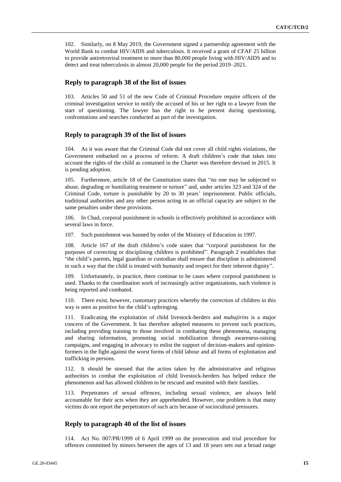102. Similarly, on 8 May 2019, the Government signed a partnership agreement with the World Bank to combat HIV/AIDS and tuberculosis. It received a grant of CFAF 25 billion to provide antiretroviral treatment to more than 80,000 people living with HIV/AIDS and to detect and treat tuberculosis in almost 20,000 people for the period 2019–2021.

#### **Reply to paragraph 38 of the list of issues**

103. Articles 50 and 51 of the new Code of Criminal Procedure require officers of the criminal investigation service to notify the accused of his or her right to a lawyer from the start of questioning. The lawyer has the right to be present during questioning, confrontations and searches conducted as part of the investigation.

#### **Reply to paragraph 39 of the list of issues**

104. As it was aware that the Criminal Code did not cover all child rights violations, the Government embarked on a process of reform. A draft children's code that takes into account the rights of the child as contained in the Charter was therefore devised in 2015. It is pending adoption.

105. Furthermore, article 18 of the Constitution states that "no one may be subjected to abuse, degrading or humiliating treatment or torture" and, under articles 323 and 324 of the Criminal Code, torture is punishable by 20 to 30 years' imprisonment. Public officials, traditional authorities and any other person acting in an official capacity are subject to the same penalties under these provisions.

106. In Chad, corporal punishment in schools is effectively prohibited in accordance with several laws in force.

107. Such punishment was banned by order of the Ministry of Education in 1997.

108. Article 167 of the draft children's code states that "corporal punishment for the purposes of correcting or disciplining children is prohibited". Paragraph 2 establishes that "the child's parents, legal guardian or custodian shall ensure that discipline is administered in such a way that the child is treated with humanity and respect for their inherent dignity".

109. Unfortunately, in practice, there continue to be cases where corporal punishment is used. Thanks to the coordination work of increasingly active organizations, such violence is being reported and combated.

110. There exist, however, customary practices whereby the correction of children in this way is seen as positive for the child's upbringing.

111. Eradicating the exploitation of child livestock-herders and *muhajirins* is a major concern of the Government. It has therefore adopted measures to prevent such practices, including providing training to those involved in combating these phenomena, managing and sharing information, promoting social mobilization through awareness-raising campaigns, and engaging in advocacy to enlist the support of decision-makers and opinionformers in the fight against the worst forms of child labour and all forms of exploitation and trafficking in persons.

112. It should be stressed that the action taken by the administrative and religious authorities to combat the exploitation of child livestock-herders has helped reduce the phenomenon and has allowed children to be rescued and reunited with their families.

113. Perpetrators of sexual offences, including sexual violence, are always held accountable for their acts when they are apprehended. However, one problem is that many victims do not report the perpetrators of such acts because of sociocultural pressures.

#### **Reply to paragraph 40 of the list of issues**

114. Act No. 007/PR/1999 of 6 April 1999 on the prosecution and trial procedure for offences committed by minors between the ages of 13 and 18 years sets out a broad range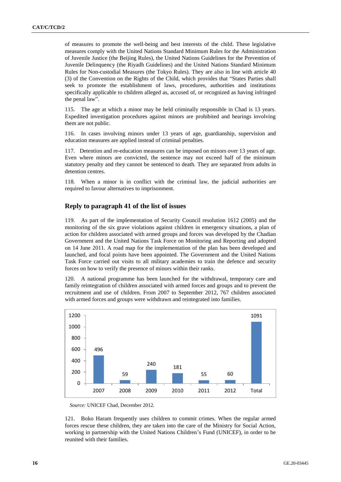of measures to promote the well-being and best interests of the child. These legislative measures comply with the United Nations Standard Minimum Rules for the Administration of Juvenile Justice (the Beijing Rules), the United Nations Guidelines for the Prevention of Juvenile Delinquency (the Riyadh Guidelines) and the United Nations Standard Minimum Rules for Non-custodial Measures (the Tokyo Rules). They are also in line with article 40 (3) of the Convention on the Rights of the Child, which provides that "States Parties shall seek to promote the establishment of laws, procedures, authorities and institutions specifically applicable to children alleged as, accused of, or recognized as having infringed the penal law".

115. The age at which a minor may be held criminally responsible in Chad is 13 years. Expedited investigation procedures against minors are prohibited and hearings involving them are not public.

116. In cases involving minors under 13 years of age, guardianship, supervision and education measures are applied instead of criminal penalties.

117. Detention and re-education measures can be imposed on minors over 13 years of age. Even where minors are convicted, the sentence may not exceed half of the minimum statutory penalty and they cannot be sentenced to death. They are separated from adults in detention centres.

118. When a minor is in conflict with the criminal law, the judicial authorities are required to favour alternatives to imprisonment.

## **Reply to paragraph 41 of the list of issues**

119. As part of the implementation of Security Council resolution 1612 (2005) and the monitoring of the six grave violations against children in emergency situations, a plan of action for children associated with armed groups and forces was developed by the Chadian Government and the United Nations Task Force on Monitoring and Reporting and adopted on 14 June 2011. A road map for the implementation of the plan has been developed and launched, and focal points have been appointed. The Government and the United Nations Task Force carried out visits to all military academies to train the defence and security forces on how to verify the presence of minors within their ranks.

120. A national programme has been launched for the withdrawal, temporary care and family reintegration of children associated with armed forces and groups and to prevent the recruitment and use of children. From 2007 to September 2012, 767 children associated with armed forces and groups were withdrawn and reintegrated into families.



*Source:* UNICEF Chad, December 2012.

121. Boko Haram frequently uses children to commit crimes. When the regular armed forces rescue these children, they are taken into the care of the Ministry for Social Action, working in partnership with the United Nations Children's Fund (UNICEF), in order to be reunited with their families.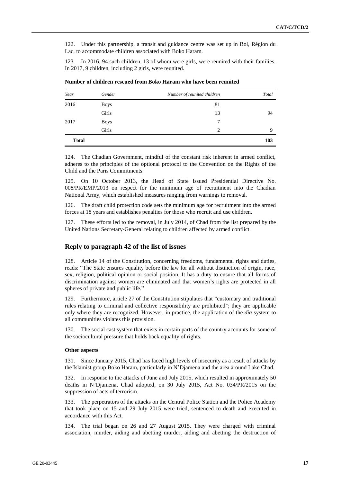122. Under this partnership, a transit and guidance centre was set up in Bol, Région du Lac, to accommodate children associated with Boko Haram.

123. In 2016, 94 such children, 13 of whom were girls, were reunited with their families. In 2017, 9 children, including 2 girls, were reunited.

| Year         | Gender      | Number of reunited children | Total |
|--------------|-------------|-----------------------------|-------|
| 2016         | <b>Boys</b> | 81                          |       |
|              | Girls       | 13                          | 94    |
| 2017         | <b>Boys</b> | 7                           |       |
|              | Girls       | $\overline{c}$              | 9     |
| <b>Total</b> |             |                             | 103   |

**Number of children rescued from Boko Haram who have been reunited**

124. The Chadian Government, mindful of the constant risk inherent in armed conflict, adheres to the principles of the optional protocol to the Convention on the Rights of the Child and the Paris Commitments.

125. On 10 October 2013, the Head of State issued Presidential Directive No. 008/PR/EMP/2013 on respect for the minimum age of recruitment into the Chadian National Army, which established measures ranging from warnings to removal.

126. The draft child protection code sets the minimum age for recruitment into the armed forces at 18 years and establishes penalties for those who recruit and use children.

127. These efforts led to the removal, in July 2014, of Chad from the list prepared by the United Nations Secretary-General relating to children affected by armed conflict.

#### **Reply to paragraph 42 of the list of issues**

128. Article 14 of the Constitution, concerning freedoms, fundamental rights and duties, reads: "The State ensures equality before the law for all without distinction of origin, race, sex, religion, political opinion or social position. It has a duty to ensure that all forms of discrimination against women are eliminated and that women's rights are protected in all spheres of private and public life."

129. Furthermore, article 27 of the Constitution stipulates that "customary and traditional rules relating to criminal and collective responsibility are prohibited"; they are applicable only where they are recognized. However, in practice, the application of the *dia* system to all communities violates this provision.

130. The social cast system that exists in certain parts of the country accounts for some of the sociocultural pressure that holds back equality of rights.

#### **Other aspects**

131. Since January 2015, Chad has faced high levels of insecurity as a result of attacks by the Islamist group Boko Haram, particularly in N'Djamena and the area around Lake Chad.

132. In response to the attacks of June and July 2015, which resulted in approximately 50 deaths in N'Djamena, Chad adopted, on 30 July 2015, Act No. 034/PR/2015 on the suppression of acts of terrorism.

133. The perpetrators of the attacks on the Central Police Station and the Police Academy that took place on 15 and 29 July 2015 were tried, sentenced to death and executed in accordance with this Act.

134. The trial began on 26 and 27 August 2015. They were charged with criminal association, murder, aiding and abetting murder, aiding and abetting the destruction of